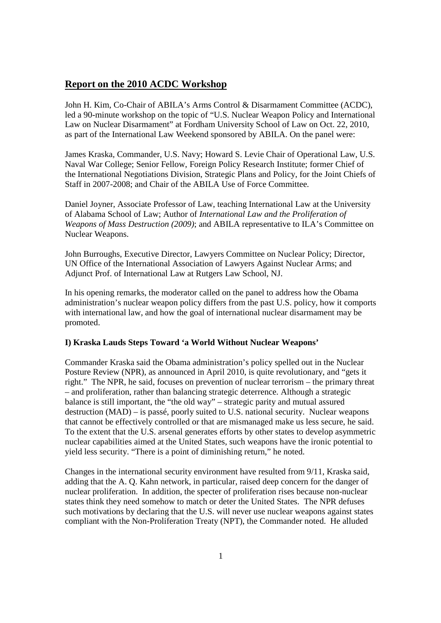# **Report on the 2010 ACDC Workshop**

John H. Kim, Co-Chair of ABILA's Arms Control & Disarmament Committee (ACDC), led a 90-minute workshop on the topic of "U.S. Nuclear Weapon Policy and International Law on Nuclear Disarmament" at Fordham University School of Law on Oct. 22, 2010, as part of the International Law Weekend sponsored by ABILA. On the panel were:

James Kraska*,* Commander, U.S. Navy; Howard S. Levie Chair of Operational Law, U.S. Naval War College; Senior Fellow, Foreign Policy Research Institute; former Chief of the International Negotiations Division, Strategic Plans and Policy, for the Joint Chiefs of Staff in 2007-2008; and Chair of the ABILA Use of Force Committee.

Daniel Joyner, Associate Professor of Law, teaching International Law at the University of Alabama School of Law; Author of *International Law and the Proliferation of Weapons of Mass Destruction (2009)*; and ABILA representative to ILA's Committee on Nuclear Weapons.

John Burroughs, Executive Director, Lawyers Committee on Nuclear Policy; Director, UN Office of the International Association of Lawyers Against Nuclear Arms; and Adjunct Prof. of International Law at Rutgers Law School, NJ.

In his opening remarks, the moderator called on the panel to address how the Obama administration's nuclear weapon policy differs from the past U.S. policy, how it comports with international law, and how the goal of international nuclear disarmament may be promoted.

#### **I) Kraska Lauds Steps Toward 'a World Without Nuclear Weapons'**

Commander Kraska said the Obama administration's policy spelled out in the Nuclear Posture Review (NPR), as announced in April 2010, is quite revolutionary, and "gets it right." The NPR, he said, focuses on prevention of nuclear terrorism – the primary threat – and proliferation, rather than balancing strategic deterrence. Although a strategic balance is still important, the "the old way" – strategic parity and mutual assured destruction (MAD) – is passé, poorly suited to U.S. national security. Nuclear weapons that cannot be effectively controlled or that are mismanaged make us less secure, he said. To the extent that the U.S. arsenal generates efforts by other states to develop asymmetric nuclear capabilities aimed at the United States, such weapons have the ironic potential to yield less security. "There is a point of diminishing return," he noted.

Changes in the international security environment have resulted from 9/11, Kraska said, adding that the A. Q. Kahn network, in particular, raised deep concern for the danger of nuclear proliferation. In addition, the specter of proliferation rises because non-nuclear states think they need somehow to match or deter the United States. The NPR defuses such motivations by declaring that the U.S. will never use nuclear weapons against states compliant with the Non-Proliferation Treaty (NPT), the Commander noted. He alluded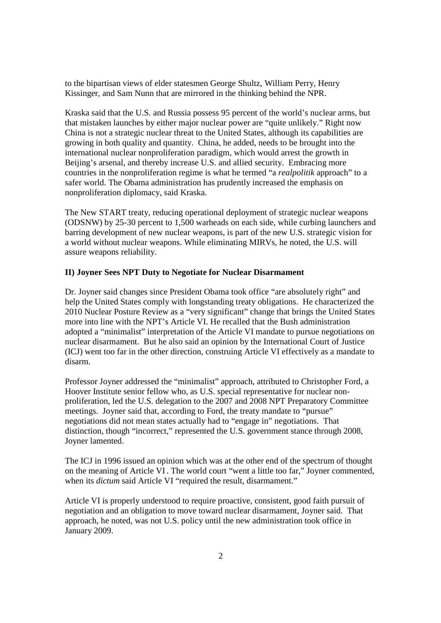to the bipartisan views of elder statesmen George Shultz, William Perry, Henry Kissinger, and Sam Nunn that are mirrored in the thinking behind the NPR.

Kraska said that the U.S. and Russia possess 95 percent of the world's nuclear arms, but that mistaken launches by either major nuclear power are "quite unlikely." Right now China is not a strategic nuclear threat to the United States, although its capabilities are growing in both quality and quantity. China, he added, needs to be brought into the international nuclear nonproliferation paradigm, which would arrest the growth in Beijing's arsenal, and thereby increase U.S. and allied security. Embracing more countries in the nonproliferation regime is what he termed "a *realpolitik* approach" to a safer world. The Obama administration has prudently increased the emphasis on nonproliferation diplomacy, said Kraska.

The New START treaty, reducing operational deployment of strategic nuclear weapons (ODSNW) by 25-30 percent to 1,500 warheads on each side, while curbing launchers and barring development of new nuclear weapons, is part of the new U.S. strategic vision for a world without nuclear weapons. While eliminating MIRVs, he noted, the U.S. will assure weapons reliability.

### **II) Joyner Sees NPT Duty to Negotiate for Nuclear Disarmament**

Dr. Joyner said changes since President Obama took office "are absolutely right" and help the United States comply with longstanding treaty obligations. He characterized the 2010 Nuclear Posture Review as a "very significant" change that brings the United States more into line with the NPT's Article VI. He recalled that the Bush administration adopted a "minimalist" interpretation of the Article VI mandate to pursue negotiations on nuclear disarmament. But he also said an opinion by the International Court of Justice (ICJ) went too far in the other direction, construing Article VI effectively as a mandate to disarm.

Professor Joyner addressed the "minimalist" approach, attributed to Christopher Ford, a Hoover Institute senior fellow who, as U.S. special representative for nuclear nonproliferation, led the U.S. delegation to the 2007 and 2008 NPT Preparatory Committee meetings. Joyner said that, according to Ford, the treaty mandate to "pursue" negotiations did not mean states actually had to "engage in" negotiations. That distinction, though "incorrect," represented the U.S. government stance through 2008, Joyner lamented.

The ICJ in 1996 issued an opinion which was at the other end of the spectrum of thought on the meaning of Article VI. The world court "went a little too far," Joyner commented, when its *dictum* said Article VI "required the result, disarmament."

Article VI is properly understood to require proactive, consistent, good faith pursuit of negotiation and an obligation to move toward nuclear disarmament, Joyner said. That approach, he noted, was not U.S. policy until the new administration took office in January 2009.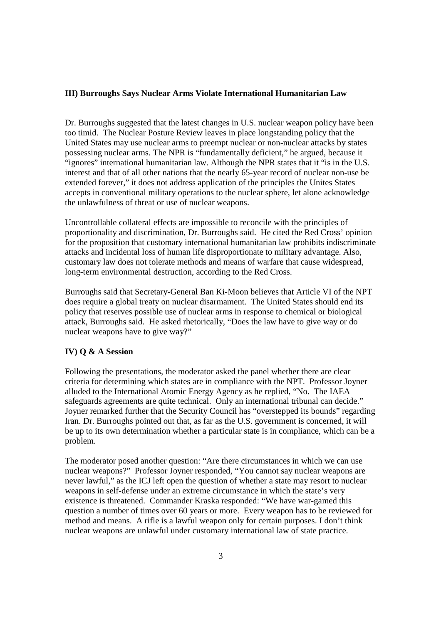### **III) Burroughs Says Nuclear Arms Violate International Humanitarian Law**

Dr. Burroughs suggested that the latest changes in U.S. nuclear weapon policy have been too timid. The Nuclear Posture Review leaves in place longstanding policy that the United States may use nuclear arms to preempt nuclear or non-nuclear attacks by states possessing nuclear arms. The NPR is "fundamentally deficient," he argued, because it "ignores" international humanitarian law. Although the NPR states that it "is in the U.S. interest and that of all other nations that the nearly 65-year record of nuclear non-use be extended forever," it does not address application of the principles the Unites States accepts in conventional military operations to the nuclear sphere, let alone acknowledge the unlawfulness of threat or use of nuclear weapons.

Uncontrollable collateral effects are impossible to reconcile with the principles of proportionality and discrimination, Dr. Burroughs said. He cited the Red Cross' opinion for the proposition that customary international humanitarian law prohibits indiscriminate attacks and incidental loss of human life disproportionate to military advantage. Also, customary law does not tolerate methods and means of warfare that cause widespread, long-term environmental destruction, according to the Red Cross.

Burroughs said that Secretary-General Ban Ki-Moon believes that Article VI of the NPT does require a global treaty on nuclear disarmament. The United States should end its policy that reserves possible use of nuclear arms in response to chemical or biological attack, Burroughs said. He asked rhetorically, "Does the law have to give way or do nuclear weapons have to give way?"

# **IV) Q & A Session**

Following the presentations, the moderator asked the panel whether there are clear criteria for determining which states are in compliance with the NPT. Professor Joyner alluded to the International Atomic Energy Agency as he replied, "No. The IAEA safeguards agreements are quite technical. Only an international tribunal can decide." Joyner remarked further that the Security Council has "overstepped its bounds" regarding Iran. Dr. Burroughs pointed out that, as far as the U.S. government is concerned, it will be up to its own determination whether a particular state is in compliance, which can be a problem.

The moderator posed another question: "Are there circumstances in which we can use nuclear weapons?" Professor Joyner responded, "You cannot say nuclear weapons are never lawful," as the ICJ left open the question of whether a state may resort to nuclear weapons in self-defense under an extreme circumstance in which the state's very existence is threatened. Commander Kraska responded: "We have war-gamed this question a number of times over 60 years or more. Every weapon has to be reviewed for method and means. A rifle is a lawful weapon only for certain purposes. I don't think nuclear weapons are unlawful under customary international law of state practice.